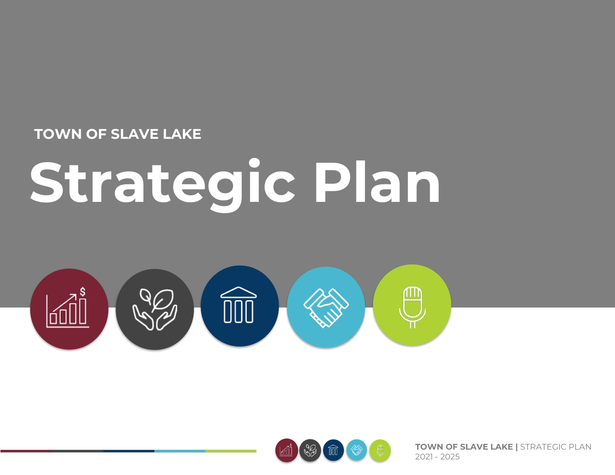#### **TOWN OF SLAVE LAKE**

# **Strategic Plan**





**TOWN OF SLAVE LAKE |** STRATEGIC PLAN 2021 - 2025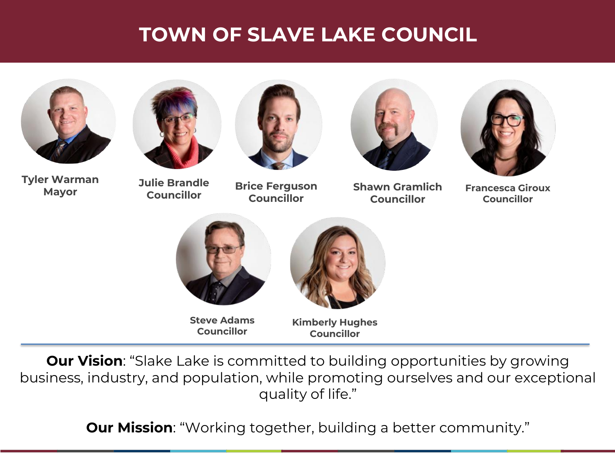# **TOWN OF SLAVE LAKE COUNCIL**





**Tyler Warman Mayor**

**Julie Brandle**

**Councillor**



**Brice Ferguson Councillor**



**Shawn Gramlich Councillor**



**Francesca Giroux Councillor**



**Steve Adams Councillor**



**Kimberly Hughes Councillor**

**Our Vision**: "Slake Lake is committed to building opportunities by growing business, industry, and population, while promoting ourselves and our exceptional quality of life."

**Our Mission**: "Working together, building a better community."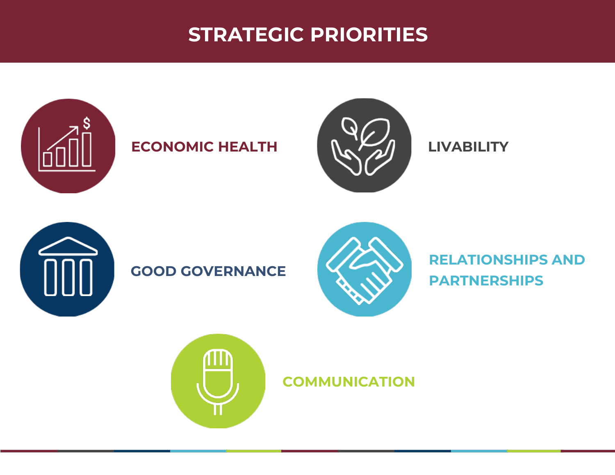# **STRATEGIC PRIORITIES**



### **ECONOMIC HEALTH AND LIVABILITY**





#### **GOOD GOVERNANCE**



#### **RELATIONSHIPS AND PARTNERSHIPS**



**COMMUNICATION**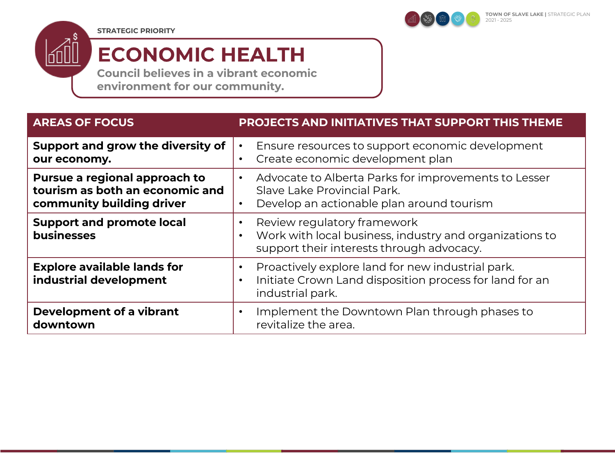**STRATEGIC PRIORITY**



# **ECONOMIC HEALTH**

**Council believes in a vibrant economic environment for our community.**

| <b>AREAS OF FOCUS</b>                                                                         | <b>PROJECTS AND INITIATIVES THAT SUPPORT THIS THEME</b>                                                                                                       |
|-----------------------------------------------------------------------------------------------|---------------------------------------------------------------------------------------------------------------------------------------------------------------|
| Support and grow the diversity of<br>our economy.                                             | Ensure resources to support economic development<br>Create economic development plan<br>$\bullet$                                                             |
| Pursue a regional approach to<br>tourism as both an economic and<br>community building driver | Advocate to Alberta Parks for improvements to Lesser<br>$\bullet$<br>Slave Lake Provincial Park.<br>Develop an actionable plan around tourism<br>$\bullet$    |
| <b>Support and promote local</b><br><b>businesses</b>                                         | Review regulatory framework<br>$\bullet$<br>Work with local business, industry and organizations to<br>$\bullet$<br>support their interests through advocacy. |
| <b>Explore available lands for</b><br>industrial development                                  | Proactively explore land for new industrial park.<br>$\bullet$<br>Initiate Crown Land disposition process for land for an<br>$\bullet$<br>industrial park.    |
| Development of a vibrant<br>downtown                                                          | Implement the Downtown Plan through phases to<br>$\bullet$<br>revitalize the area.                                                                            |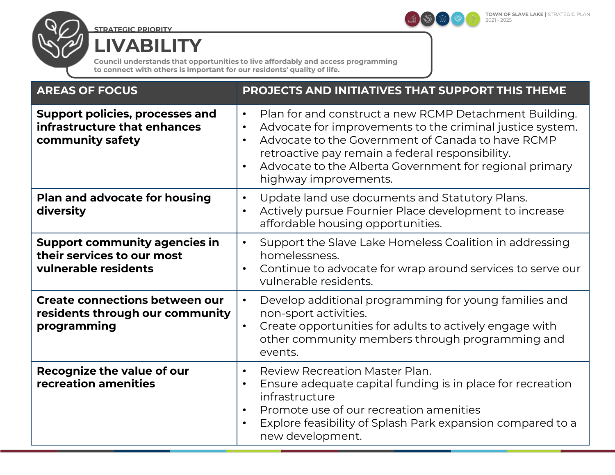

**STRATEGIC PRIORITY**

60

**LIVABILITY**

**Council understands that opportunities to live affordably and access programming to connect with others is important for our residents' quality of life.**

| <b>AREAS OF FOCUS</b>                                                                      | PROJECTS AND INITIATIVES THAT SUPPORT THIS THEME                                                                                                                                                                                                                                                                                                                     |
|--------------------------------------------------------------------------------------------|----------------------------------------------------------------------------------------------------------------------------------------------------------------------------------------------------------------------------------------------------------------------------------------------------------------------------------------------------------------------|
| <b>Support policies, processes and</b><br>infrastructure that enhances<br>community safety | Plan for and construct a new RCMP Detachment Building.<br>$\bullet$<br>Advocate for improvements to the criminal justice system.<br>$\bullet$<br>Advocate to the Government of Canada to have RCMP<br>$\bullet$<br>retroactive pay remain a federal responsibility.<br>Advocate to the Alberta Government for regional primary<br>$\bullet$<br>highway improvements. |
| <b>Plan and advocate for housing</b><br>diversity                                          | Update land use documents and Statutory Plans.<br>$\bullet$<br>Actively pursue Fournier Place development to increase<br>$\bullet$<br>affordable housing opportunities.                                                                                                                                                                                              |
| <b>Support community agencies in</b><br>their services to our most<br>vulnerable residents | Support the Slave Lake Homeless Coalition in addressing<br>$\bullet$<br>homelessness.<br>Continue to advocate for wrap around services to serve our<br>$\bullet$<br>vulnerable residents.                                                                                                                                                                            |
| <b>Create connections between our</b><br>residents through our community<br>programming    | Develop additional programming for young families and<br>$\bullet$<br>non-sport activities.<br>Create opportunities for adults to actively engage with<br>$\bullet$<br>other community members through programming and<br>events.                                                                                                                                    |
| <b>Recognize the value of our</b><br>recreation amenities                                  | <b>Review Recreation Master Plan.</b><br>$\bullet$<br>Ensure adequate capital funding is in place for recreation<br>$\bullet$<br>infrastructure<br>Promote use of our recreation amenities<br>$\bullet$<br>Explore feasibility of Splash Park expansion compared to a<br>$\bullet$<br>new development.                                                               |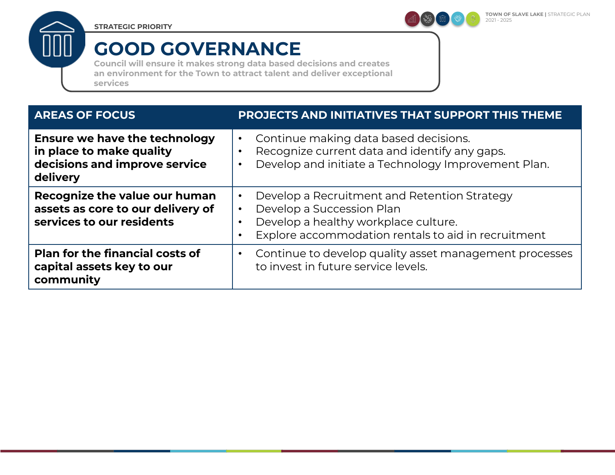**STRATEGIC PRIORITY**



# **GOOD GOVERNANCE**

**Council will ensure it makes strong data based decisions and creates an environment for the Town to attract talent and deliver exceptional services**

| <b>AREAS OF FOCUS</b>                                                                                         | PROJECTS AND INITIATIVES THAT SUPPORT THIS THEME                                                                                                                                                                             |
|---------------------------------------------------------------------------------------------------------------|------------------------------------------------------------------------------------------------------------------------------------------------------------------------------------------------------------------------------|
| <b>Ensure we have the technology</b><br>in place to make quality<br>decisions and improve service<br>delivery | Continue making data based decisions.<br>$\bullet$<br>Recognize current data and identify any gaps.<br>$\bullet$<br>Develop and initiate a Technology Improvement Plan.<br>$\bullet$                                         |
| Recognize the value our human<br>assets as core to our delivery of<br>services to our residents               | Develop a Recruitment and Retention Strategy<br>$\bullet$<br>Develop a Succession Plan<br>$\bullet$<br>Develop a healthy workplace culture.<br>$\bullet$<br>Explore accommodation rentals to aid in recruitment<br>$\bullet$ |
| <b>Plan for the financial costs of</b><br>capital assets key to our<br>community                              | Continue to develop quality asset management processes<br>$\bullet$<br>to invest in future service levels.                                                                                                                   |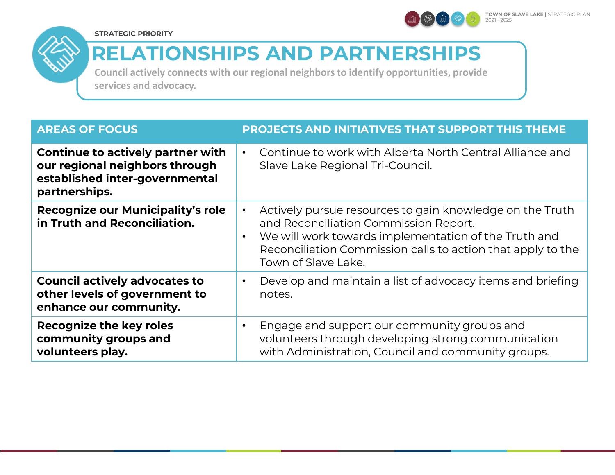

**TOWN OF SLAVE LAKE |** STRATEGIC PLAN 2021 - 2025





# **RELATIONSHIPS AND PARTNERSHIPS**

**Council actively connects with our regional neighbors to identify opportunities, provide services and advocacy.**

| <b>AREAS OF FOCUS</b>                                                                                                         | <b>PROJECTS AND INITIATIVES THAT SUPPORT THIS THEME</b>                                                                                                                                                                                                                   |
|-------------------------------------------------------------------------------------------------------------------------------|---------------------------------------------------------------------------------------------------------------------------------------------------------------------------------------------------------------------------------------------------------------------------|
| <b>Continue to actively partner with</b><br>our regional neighbors through<br>established inter-governmental<br>partnerships. | Continue to work with Alberta North Central Alliance and<br>$\bullet$<br>Slave Lake Regional Tri-Council.                                                                                                                                                                 |
| Recognize our Municipality's role<br>in Truth and Reconciliation.                                                             | Actively pursue resources to gain knowledge on the Truth<br>$\bullet$<br>and Reconciliation Commission Report.<br>We will work towards implementation of the Truth and<br>$\bullet$<br>Reconciliation Commission calls to action that apply to the<br>Town of Slave Lake. |
| <b>Council actively advocates to</b><br>other levels of government to<br>enhance our community.                               | Develop and maintain a list of advocacy items and briefing<br>$\bullet$<br>notes.                                                                                                                                                                                         |
| <b>Recognize the key roles</b><br>community groups and<br>volunteers play.                                                    | Engage and support our community groups and<br>$\bullet$<br>volunteers through developing strong communication<br>with Administration, Council and community groups.                                                                                                      |